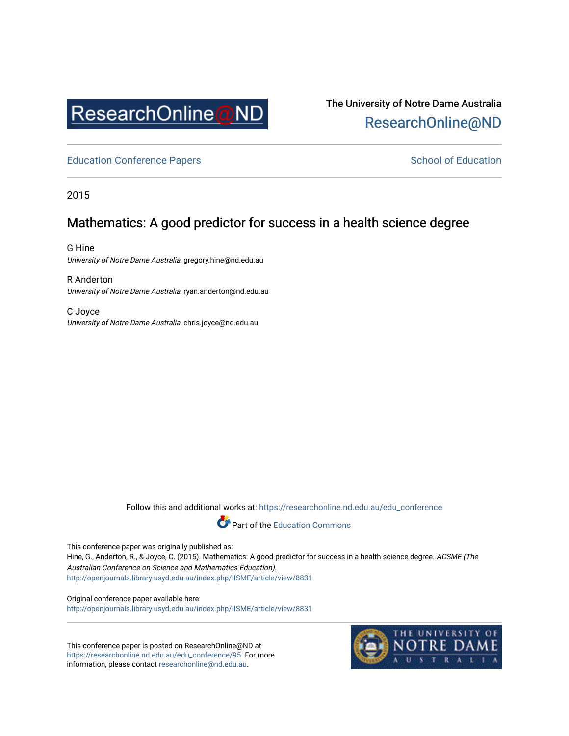

The University of Notre Dame Australia [ResearchOnline@ND](https://researchonline.nd.edu.au/) 

[Education Conference Papers](https://researchonline.nd.edu.au/edu_conference) **School of Education** School of Education

2015

## Mathematics: A good predictor for success in a health science degree

G Hine University of Notre Dame Australia, gregory.hine@nd.edu.au

R Anderton University of Notre Dame Australia, ryan.anderton@nd.edu.au

C Joyce University of Notre Dame Australia, chris.joyce@nd.edu.au

Follow this and additional works at: [https://researchonline.nd.edu.au/edu\\_conference](https://researchonline.nd.edu.au/edu_conference?utm_source=researchonline.nd.edu.au%2Fedu_conference%2F95&utm_medium=PDF&utm_campaign=PDFCoverPages)

Part of the [Education Commons](http://network.bepress.com/hgg/discipline/784?utm_source=researchonline.nd.edu.au%2Fedu_conference%2F95&utm_medium=PDF&utm_campaign=PDFCoverPages) 

This conference paper was originally published as:

Hine, G., Anderton, R., & Joyce, C. (2015). Mathematics: A good predictor for success in a health science degree. ACSME (The Australian Conference on Science and Mathematics Education). <http://openjournals.library.usyd.edu.au/index.php/IISME/article/view/8831>

Original conference paper available here: <http://openjournals.library.usyd.edu.au/index.php/IISME/article/view/8831>

This conference paper is posted on ResearchOnline@ND at [https://researchonline.nd.edu.au/edu\\_conference/95.](https://researchonline.nd.edu.au/edu_conference/95) For more information, please contact [researchonline@nd.edu.au.](mailto:researchonline@nd.edu.au)

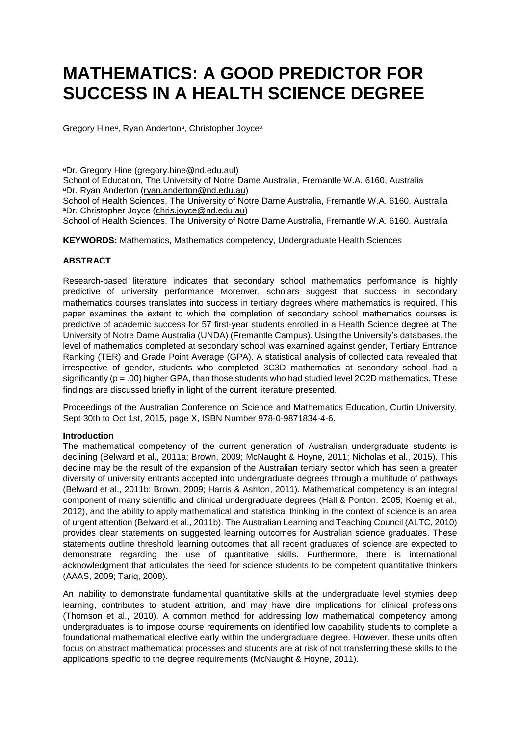# **MATHEMATICS: A GOOD PREDICTOR FOR SUCCESS IN A HEALTH SCIENCE DEGREE**

Gregory Hineª, Ryan Andertonª, Christopher Joyceª

<sup>a</sup>Dr. Gregory Hine [\(gregory.hine@nd.edu.aul\)](mailto:gregory.hine@nd.edu.aul)

School of Education, The University of Notre Dame Australia, Fremantle W.A. 6160, Australia aDr. Ryan Anderton [\(ryan.anderton@nd.edu.au\)](mailto:ryan.anderton@nd.edu.au)

School of Health Sciences, The University of Notre Dame Australia, Fremantle W.A. 6160, Australia aDr. Christopher Joyce [\(chris.joyce@nd.edu.au\)](mailto:chris.joyce@nd.edu.au)

School of Health Sciences, The University of Notre Dame Australia, Fremantle W.A. 6160, Australia

**KEYWORDS:** Mathematics, Mathematics competency, Undergraduate Health Sciences

#### **ABSTRACT**

Research-based literature indicates that secondary school mathematics performance is highly predictive of university performance Moreover, scholars suggest that success in secondary mathematics courses translates into success in tertiary degrees where mathematics is required. This paper examines the extent to which the completion of secondary school mathematics courses is predictive of academic success for 57 first-year students enrolled in a Health Science degree at The University of Notre Dame Australia (UNDA) (Fremantle Campus). Using the University's databases, the level of mathematics completed at secondary school was examined against gender, Tertiary Entrance Ranking (TER) and Grade Point Average (GPA). A statistical analysis of collected data revealed that irrespective of gender, students who completed 3C3D mathematics at secondary school had a significantly ( $p = .00$ ) higher GPA, than those students who had studied level 2C2D mathematics. These findings are discussed briefly in light of the current literature presented.

Proceedings of the Australian Conference on Science and Mathematics Education, Curtin University, Sept 30th to Oct 1st, 2015, page X, ISBN Number 978-0-9871834-4-6.

#### **Introduction**

The mathematical competency of the current generation of Australian undergraduate students is declining (Belward et al., 2011a; Brown, 2009; McNaught & Hoyne, 2011; Nicholas et al., 2015). This decline may be the result of the expansion of the Australian tertiary sector which has seen a greater diversity of university entrants accepted into undergraduate degrees through a multitude of pathways (Belward et al., 2011b; Brown, 2009; Harris & Ashton, 2011). Mathematical competency is an integral component of many scientific and clinical undergraduate degrees (Hall & Ponton, 2005; Koenig et al., 2012), and the ability to apply mathematical and statistical thinking in the context of science is an area of urgent attention (Belward et al., 2011b). The Australian Learning and Teaching Council (ALTC, 2010) provides clear statements on suggested learning outcomes for Australian science graduates. These statements outline threshold learning outcomes that all recent graduates of science are expected to demonstrate regarding the use of quantitative skills. Furthermore, there is international acknowledgment that articulates the need for science students to be competent quantitative thinkers (AAAS, 2009; Tariq, 2008).

An inability to demonstrate fundamental quantitative skills at the undergraduate level stymies deep learning, contributes to student attrition, and may have dire implications for clinical professions (Thomson et al., 2010). A common method for addressing low mathematical competency among undergraduates is to impose course requirements on identified low capability students to complete a foundational mathematical elective early within the undergraduate degree. However, these units often focus on abstract mathematical processes and students are at risk of not transferring these skills to the applications specific to the degree requirements (McNaught & Hoyne, 2011).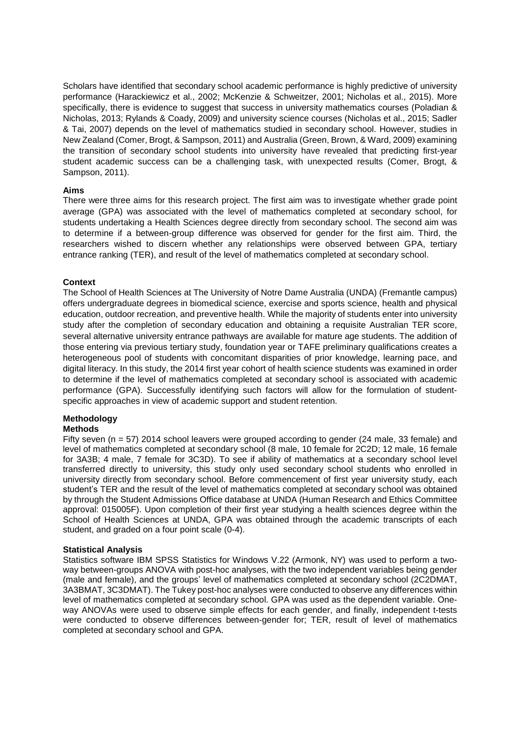Scholars have identified that secondary school academic performance is highly predictive of university performance (Harackiewicz et al., 2002; McKenzie & Schweitzer, 2001; Nicholas et al., 2015). More specifically, there is evidence to suggest that success in university mathematics courses (Poladian & Nicholas, 2013; Rylands & Coady, 2009) and university science courses (Nicholas et al., 2015; Sadler & Tai, 2007) depends on the level of mathematics studied in secondary school. However, studies in New Zealand (Comer, Brogt, & Sampson, 2011) and Australia (Green, Brown, & Ward, 2009) examining the transition of secondary school students into university have revealed that predicting first-year student academic success can be a challenging task, with unexpected results (Comer, Brogt, & Sampson, 2011).

#### **Aims**

There were three aims for this research project. The first aim was to investigate whether grade point average (GPA) was associated with the level of mathematics completed at secondary school, for students undertaking a Health Sciences degree directly from secondary school. The second aim was to determine if a between-group difference was observed for gender for the first aim. Third, the researchers wished to discern whether any relationships were observed between GPA, tertiary entrance ranking (TER), and result of the level of mathematics completed at secondary school.

#### **Context**

The School of Health Sciences at The University of Notre Dame Australia (UNDA) (Fremantle campus) offers undergraduate degrees in biomedical science, exercise and sports science, health and physical education, outdoor recreation, and preventive health. While the majority of students enter into university study after the completion of secondary education and obtaining a requisite Australian TER score, several alternative university entrance pathways are available for mature age students. The addition of those entering via previous tertiary study, foundation year or TAFE preliminary qualifications creates a heterogeneous pool of students with concomitant disparities of prior knowledge, learning pace, and digital literacy. In this study, the 2014 first year cohort of health science students was examined in order to determine if the level of mathematics completed at secondary school is associated with academic performance (GPA). Successfully identifying such factors will allow for the formulation of studentspecific approaches in view of academic support and student retention.

### **Methodology**

#### **Methods**

Fifty seven (n = 57) 2014 school leavers were grouped according to gender (24 male, 33 female) and level of mathematics completed at secondary school (8 male, 10 female for 2C2D; 12 male, 16 female for 3A3B; 4 male, 7 female for 3C3D). To see if ability of mathematics at a secondary school level transferred directly to university, this study only used secondary school students who enrolled in university directly from secondary school. Before commencement of first year university study, each student's TER and the result of the level of mathematics completed at secondary school was obtained by through the Student Admissions Office database at UNDA (Human Research and Ethics Committee approval: 015005F). Upon completion of their first year studying a health sciences degree within the School of Health Sciences at UNDA, GPA was obtained through the academic transcripts of each student, and graded on a four point scale (0-4).

#### **Statistical Analysis**

Statistics software IBM SPSS Statistics for Windows V.22 (Armonk, NY) was used to perform a twoway between-groups ANOVA with post-hoc analyses, with the two independent variables being gender (male and female), and the groups' level of mathematics completed at secondary school (2C2DMAT, 3A3BMAT, 3C3DMAT). The Tukey post-hoc analyses were conducted to observe any differences within level of mathematics completed at secondary school. GPA was used as the dependent variable. Oneway ANOVAs were used to observe simple effects for each gender, and finally, independent t-tests were conducted to observe differences between-gender for; TER, result of level of mathematics completed at secondary school and GPA.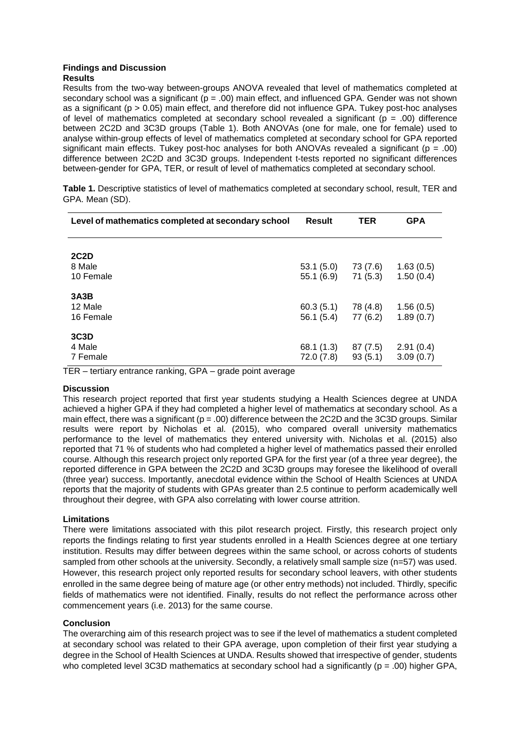#### **Findings and Discussion Results**

Results from the two-way between-groups ANOVA revealed that level of mathematics completed at secondary school was a significant ( $p = .00$ ) main effect, and influenced GPA. Gender was not shown as a significant ( $p > 0.05$ ) main effect, and therefore did not influence GPA. Tukey post-hoc analyses of level of mathematics completed at secondary school revealed a significant ( $p = .00$ ) difference between 2C2D and 3C3D groups (Table 1). Both ANOVAs (one for male, one for female) used to analyse within-group effects of level of mathematics completed at secondary school for GPA reported significant main effects. Tukey post-hoc analyses for both ANOVAs revealed a significant ( $p = .00$ ) difference between 2C2D and 3C3D groups. Independent t-tests reported no significant differences between-gender for GPA, TER, or result of level of mathematics completed at secondary school.

**Table 1.** Descriptive statistics of level of mathematics completed at secondary school, result, TER and GPA. Mean (SD).

| Level of mathematics completed at secondary school | <b>Result</b>           | <b>TER</b>          | <b>GPA</b>             |
|----------------------------------------------------|-------------------------|---------------------|------------------------|
| <b>2C2D</b><br>8 Male<br>10 Female                 | 53.1(5.0)<br>55.1(6.9)  | 73 (7.6)<br>71(5.3) | 1.63(0.5)<br>1.50(0.4) |
| 3A3B<br>12 Male<br>16 Female                       | 60.3(5.1)<br>56.1(5.4)  | 78 (4.8)<br>77(6.2) | 1.56(0.5)<br>1.89(0.7) |
| 3C3D<br>4 Male<br>7 Female                         | 68.1 (1.3)<br>72.0(7.8) | 87(7.5)<br>93(5.1)  | 2.91(0.4)<br>3.09(0.7) |

TER – tertiary entrance ranking, GPA – grade point average

#### **Discussion**

This research project reported that first year students studying a Health Sciences degree at UNDA achieved a higher GPA if they had completed a higher level of mathematics at secondary school. As a main effect, there was a significant ( $p = .00$ ) difference between the 2C2D and the 3C3D groups. Similar results were report by Nicholas et al. (2015), who compared overall university mathematics performance to the level of mathematics they entered university with. Nicholas et al. (2015) also reported that 71 % of students who had completed a higher level of mathematics passed their enrolled course. Although this research project only reported GPA for the first year (of a three year degree), the reported difference in GPA between the 2C2D and 3C3D groups may foresee the likelihood of overall (three year) success. Importantly, anecdotal evidence within the School of Health Sciences at UNDA reports that the majority of students with GPAs greater than 2.5 continue to perform academically well throughout their degree, with GPA also correlating with lower course attrition.

#### **Limitations**

There were limitations associated with this pilot research project. Firstly, this research project only reports the findings relating to first year students enrolled in a Health Sciences degree at one tertiary institution. Results may differ between degrees within the same school, or across cohorts of students sampled from other schools at the university. Secondly, a relatively small sample size (n=57) was used. However, this research project only reported results for secondary school leavers, with other students enrolled in the same degree being of mature age (or other entry methods) not included. Thirdly, specific fields of mathematics were not identified. Finally, results do not reflect the performance across other commencement years (i.e. 2013) for the same course.

#### **Conclusion**

The overarching aim of this research project was to see if the level of mathematics a student completed at secondary school was related to their GPA average, upon completion of their first year studying a degree in the School of Health Sciences at UNDA. Results showed that irrespective of gender, students who completed level 3C3D mathematics at secondary school had a significantly ( $p = .00$ ) higher GPA,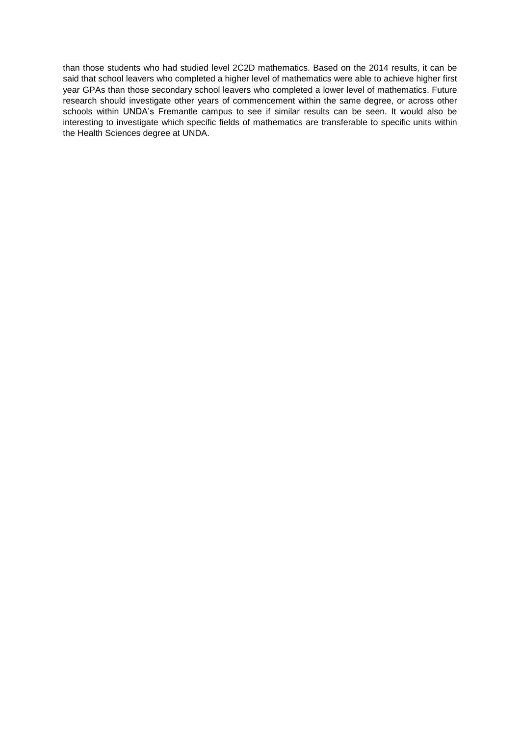than those students who had studied level 2C2D mathematics. Based on the 2014 results, it can be said that school leavers who completed a higher level of mathematics were able to achieve higher first year GPAs than those secondary school leavers who completed a lower level of mathematics. Future research should investigate other years of commencement within the same degree, or across other schools within UNDA's Fremantle campus to see if similar results can be seen. It would also be interesting to investigate which specific fields of mathematics are transferable to specific units within the Health Sciences degree at UNDA.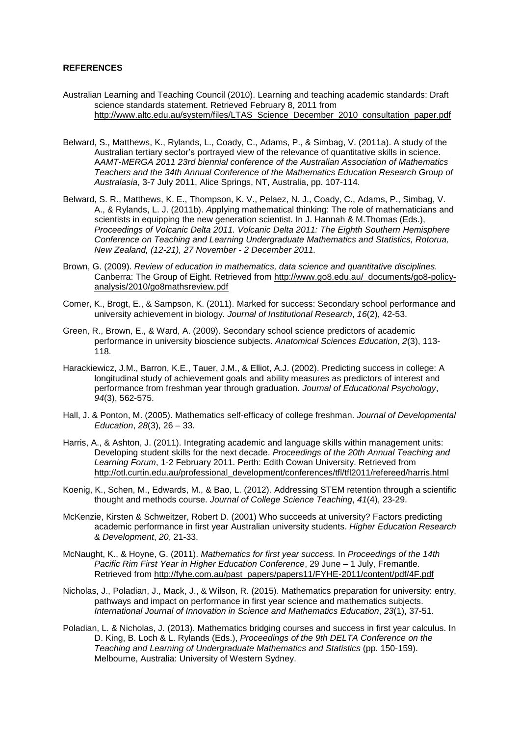#### **REFERENCES**

- Australian Learning and Teaching Council (2010). Learning and teaching academic standards: Draft science standards statement. Retrieved February 8, 2011 from [http://www.altc.edu.au/system/files/LTAS\\_Science\\_December\\_2010\\_consultation\\_paper.pdf](http://www.altc.edu.au/system/files/LTAS_Science_December_2010_consultation_paper.pdf)
- Belward, S., Matthews, K., Rylands, L., Coady, C., Adams, P., & Simbag, V. (2011a). A study of the Australian tertiary sector's portrayed view of the relevance of quantitative skills in science. A*AMT-MERGA 2011 23rd biennial conference of the Australian Association of Mathematics Teachers and the 34th Annual Conference of the Mathematics Education Research Group of Australasia*, 3-7 July 2011, Alice Springs, NT, Australia, pp. 107-114.
- Belward, S. R., Matthews, K. E., Thompson, K. V., Pelaez, N. J., Coady, C., Adams, P., Simbag, V. A., & Rylands, L. J. (2011b). *A*pplying mathematical thinking: The role of mathematicians and scientists in equipping the new generation scientist. In J. Hannah & M.Thomas (Eds.), *Proceedings of Volcanic Delta 2011. Volcanic Delta 2011: The Eighth Southern Hemisphere Conference on Teaching and Learning Undergraduate Mathematics and Statistics, Rotorua, New Zealand, (12-21), 27 November - 2 December 2011.*
- Brown, G. (2009). *Review of education in mathematics, data science and quantitative disciplines.* Canberra: The Group of Eight. Retrieved from [http://www.go8.edu.au/\\_documents/go8-policy](http://www.go8.edu.au/_documents/go8-policy-analysis/2010/go8mathsreview.pdf)[analysis/2010/go8mathsreview.pdf](http://www.go8.edu.au/_documents/go8-policy-analysis/2010/go8mathsreview.pdf)
- Comer, K., Brogt, E., & Sampson, K. (2011). Marked for success: Secondary school performance and university achievement in biology. *Journal of Institutional Research*, *16*(2), 42-53.
- Green, R., Brown, E., & Ward, A. (2009). Secondary school science predictors of academic performance in university bioscience subjects. *Anatomical Sciences Education*, *2*(3), 113- 118.
- Harackiewicz, J.M., Barron, K.E., Tauer, J.M., & Elliot, A.J. (2002). Predicting success in college: A longitudinal study of achievement goals and ability measures as predictors of interest and performance from freshman year through graduation. *Journal of Educational Psychology*, *94*(3), 562-575.
- Hall, J. & Ponton, M. (2005). Mathematics self-efficacy of college freshman. *Journal of Developmental Education*, *28*(3), 26 – 33.
- Harris, A., & Ashton, J. (2011). Integrating academic and language skills within management units: Developing student skills for the next decade. *Proceedings of the 20th Annual Teaching and Learning Forum*, 1-2 February 2011. Perth: Edith Cowan University. Retrieved from [http://otl.curtin.edu.au/professional\\_development/conferences/tfl/tfl2011/refereed/harris.html](http://otl.curtin.edu.au/professional_development/conferences/tfl/tfl2011/refereed/harris.html)
- Koenig, K., Schen, M., Edwards, M., & Bao, L. (2012). Addressing STEM retention through a scientific thought and methods course. *Journal of College Science Teaching*, *41*(4), 23-29.
- McKenzie, Kirsten & Schweitzer, Robert D. (2001) Who succeeds at university? Factors predicting academic performance in first year Australian university students. *Higher Education Research & Development*, *20*, 21-33.
- McNaught, K., & Hoyne, G. (2011). *Mathematics for first year success.* In *Proceedings of the 14th Pacific Rim First Year in Higher Education Conference*, 29 June – 1 July, Fremantle. Retrieved from [http://fyhe.com.au/past\\_papers/papers11/FYHE-2011/content/pdf/4F.pdf](http://fyhe.com.au/past_papers/papers11/FYHE-2011/content/pdf/4F.pdf)
- Nicholas, J., Poladian, J., Mack, J., & Wilson, R. (2015). Mathematics preparation for university: entry, pathways and impact on performance in first year science and mathematics subjects. *International Journal of Innovation in Science and Mathematics Education*, *23*(1), 37-51.
- Poladian, L. & Nicholas, J. (2013). Mathematics bridging courses and success in first year calculus. In D. King, B. Loch & L. Rylands (Eds.), *Proceedings of the 9th DELTA Conference on the Teaching and Learning of Undergraduate Mathematics and Statistics* (pp. 150-159). Melbourne, Australia: University of Western Sydney.